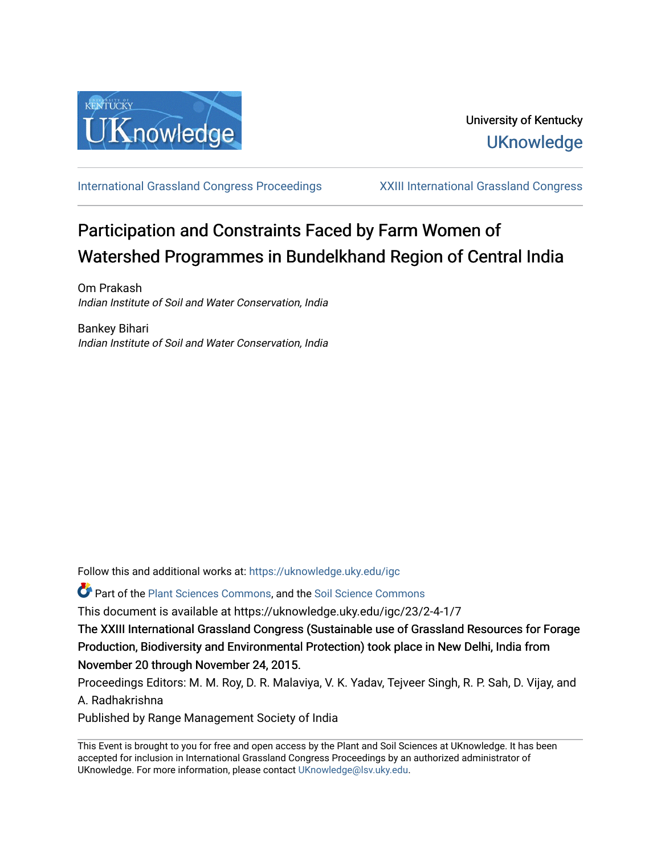

[International Grassland Congress Proceedings](https://uknowledge.uky.edu/igc) [XXIII International Grassland Congress](https://uknowledge.uky.edu/igc/23) 

# Participation and Constraints Faced by Farm Women of Watershed Programmes in Bundelkhand Region of Central India

Om Prakash Indian Institute of Soil and Water Conservation, India

Bankey Bihari Indian Institute of Soil and Water Conservation, India

Follow this and additional works at: [https://uknowledge.uky.edu/igc](https://uknowledge.uky.edu/igc?utm_source=uknowledge.uky.edu%2Figc%2F23%2F2-4-1%2F7&utm_medium=PDF&utm_campaign=PDFCoverPages) 

**P** Part of the [Plant Sciences Commons](http://network.bepress.com/hgg/discipline/102?utm_source=uknowledge.uky.edu%2Figc%2F23%2F2-4-1%2F7&utm_medium=PDF&utm_campaign=PDFCoverPages), and the Soil Science Commons

This document is available at https://uknowledge.uky.edu/igc/23/2-4-1/7

The XXIII International Grassland Congress (Sustainable use of Grassland Resources for Forage Production, Biodiversity and Environmental Protection) took place in New Delhi, India from November 20 through November 24, 2015.

Proceedings Editors: M. M. Roy, D. R. Malaviya, V. K. Yadav, Tejveer Singh, R. P. Sah, D. Vijay, and A. Radhakrishna

Published by Range Management Society of India

This Event is brought to you for free and open access by the Plant and Soil Sciences at UKnowledge. It has been accepted for inclusion in International Grassland Congress Proceedings by an authorized administrator of UKnowledge. For more information, please contact [UKnowledge@lsv.uky.edu](mailto:UKnowledge@lsv.uky.edu).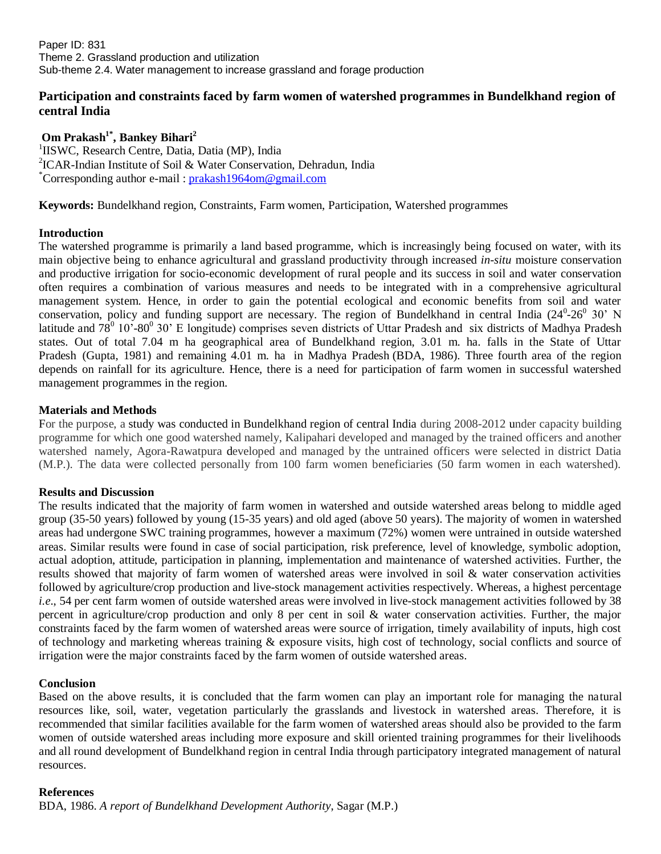Paper ID: 831 Theme 2. Grassland production and utilization Sub-theme 2.4. Water management to increase grassland and forage production

## **Participation and constraints faced by farm women of watershed programmes in Bundelkhand region of central India**

**Om Prakash1\* , Bankey Bihari<sup>2</sup>** <sup>1</sup>IISWC, Research Centre, Datia, Datia (MP), India 2 ICAR-Indian Institute of Soil & Water Conservation, Dehradun, India \*Corresponding author e-mail : [prakash1964om@gmail.com](mailto:prakash1964om@gmail.com)

**Keywords:** Bundelkhand region, Constraints, Farm women, Participation, Watershed programmes

## **Introduction**

The watershed programme is primarily a land based programme, which is increasingly being focused on water, with its main objective being to enhance agricultural and grassland productivity through increased *in-situ* moisture conservation and productive irrigation for socio-economic development of rural people and its success in soil and water conservation often requires a combination of various measures and needs to be integrated with in a comprehensive agricultural management system. Hence, in order to gain the potential ecological and economic benefits from soil and water conservation, policy and funding support are necessary. The region of Bundelkhand in central India  $(24^0$ - $26^0$  30' N latitude and  $78^0$  10'-80<sup>0</sup> 30' E longitude) comprises seven districts of Uttar Pradesh and six districts of Madhya Pradesh states. Out of total 7.04 m ha geographical area of Bundelkhand region, 3.01 m. ha. falls in the State of Uttar Pradesh (Gupta, 1981) and remaining 4.01 m. ha in Madhya Pradesh (BDA, 1986). Three fourth area of the region depends on rainfall for its agriculture. Hence, there is a need for participation of farm women in successful watershed management programmes in the region.

## **Materials and Methods**

For the purpose, a study was conducted in Bundelkhand region of central India during 2008-2012 under capacity building programme for which one good watershed namely, Kalipahari developed and managed by the trained officers and another watershed namely, Agora-Rawatpura developed and managed by the untrained officers were selected in district Datia (M.P.). The data were collected personally from 100 farm women beneficiaries (50 farm women in each watershed).

#### **Results and Discussion**

The results indicated that the majority of farm women in watershed and outside watershed areas belong to middle aged group (35-50 years) followed by young (15-35 years) and old aged (above 50 years). The majority of women in watershed areas had undergone SWC training programmes, however a maximum (72%) women were untrained in outside watershed areas. Similar results were found in case of social participation, risk preference, level of knowledge, symbolic adoption, actual adoption, attitude, participation in planning, implementation and maintenance of watershed activities. Further, the results showed that majority of farm women of watershed areas were involved in soil & water conservation activities followed by agriculture/crop production and live-stock management activities respectively. Whereas, a highest percentage *i.e*., 54 per cent farm women of outside watershed areas were involved in live-stock management activities followed by 38 percent in agriculture/crop production and only 8 per cent in soil & water conservation activities. Further, the major constraints faced by the farm women of watershed areas were source of irrigation, timely availability of inputs, high cost of technology and marketing whereas training & exposure visits, high cost of technology, social conflicts and source of irrigation were the major constraints faced by the farm women of outside watershed areas.

#### **Conclusion**

Based on the above results, it is concluded that the farm women can play an important role for managing the natural resources like, soil, water, vegetation particularly the grasslands and livestock in watershed areas. Therefore, it is recommended that similar facilities available for the farm women of watershed areas should also be provided to the farm women of outside watershed areas including more exposure and skill oriented training programmes for their livelihoods and all round development of Bundelkhand region in central India through participatory integrated management of natural resources.

#### **References**